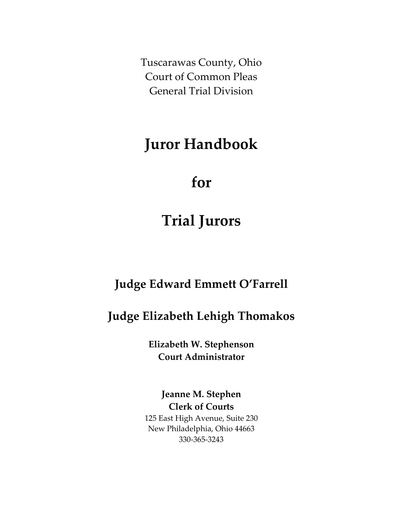Tuscarawas County, Ohio Court of Common Pleas General Trial Division

## **Juror Handbook**

# **for**

# **Trial Jurors**

### **Judge Edward Emmett O'Farrell**

## **Judge Elizabeth Lehigh Thomakos**

**Elizabeth W. Stephenson Court Administrator**

**Jeanne M. Stephen Clerk of Courts** 125 East High Avenue, Suite 230 New Philadelphia, Ohio 44663 330-365-3243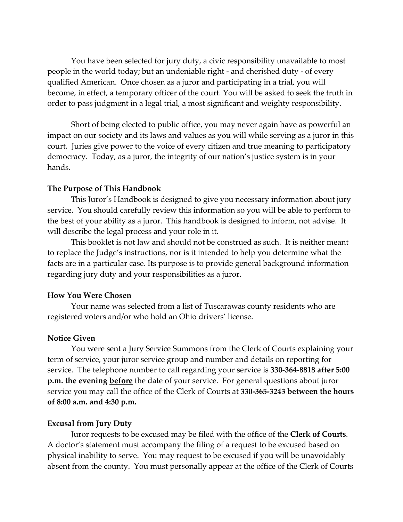You have been selected for jury duty, a civic responsibility unavailable to most people in the world today; but an undeniable right - and cherished duty - of every qualified American. Once chosen as a juror and participating in a trial, you will become, in effect, a temporary officer of the court. You will be asked to seek the truth in order to pass judgment in a legal trial, a most significant and weighty responsibility.

Short of being elected to public office, you may never again have as powerful an impact on our society and its laws and values as you will while serving as a juror in this court. Juries give power to the voice of every citizen and true meaning to participatory democracy. Today, as a juror, the integrity of our nation's justice system is in your hands.

#### **The Purpose of This Handbook**

This Juror's Handbook is designed to give you necessary information about jury service. You should carefully review this information so you will be able to perform to the best of your ability as a juror. This handbook is designed to inform, not advise. It will describe the legal process and your role in it.

This booklet is not law and should not be construed as such. It is neither meant to replace the Judge's instructions, nor is it intended to help you determine what the facts are in a particular case. Its purpose is to provide general background information regarding jury duty and your responsibilities as a juror.

#### **How You Were Chosen**

Your name was selected from a list of Tuscarawas county residents who are registered voters and/or who hold an Ohio drivers' license.

#### **Notice Given**

You were sent a Jury Service Summons from the Clerk of Courts explaining your term of service, your juror service group and number and details on reporting for service. The telephone number to call regarding your service is **330-364-8818 after 5:00 p.m. the evening before** the date of your service. For general questions about juror service you may call the office of the Clerk of Courts at **330-365-3243 between the hours of 8:00 a.m. and 4:30 p.m.**

#### **Excusal from Jury Duty**

Juror requests to be excused may be filed with the office of the **Clerk of Courts**. A doctor's statement must accompany the filing of a request to be excused based on physical inability to serve. You may request to be excused if you will be unavoidably absent from the county. You must personally appear at the office of the Clerk of Courts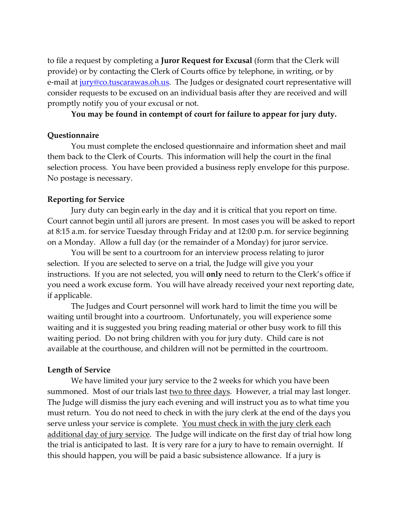to file a request by completing a **Juror Request for Excusal** (form that the Clerk will provide) or by contacting the Clerk of Courts office by telephone, in writing, or by e-mail at [jury@co.tuscarawas.oh.us.](mailto:jury@co.tuscarawas.oh.us) The Judges or designated court representative will consider requests to be excused on an individual basis after they are received and will promptly notify you of your excusal or not.

#### **You may be found in contempt of court for failure to appear for jury duty.**

#### **Questionnaire**

You must complete the enclosed questionnaire and information sheet and mail them back to the Clerk of Courts. This information will help the court in the final selection process. You have been provided a business reply envelope for this purpose. No postage is necessary.

#### **Reporting for Service**

Jury duty can begin early in the day and it is critical that you report on time. Court cannot begin until all jurors are present. In most cases you will be asked to report at 8:15 a.m. for service Tuesday through Friday and at 12:00 p.m. for service beginning on a Monday. Allow a full day (or the remainder of a Monday) for juror service.

You will be sent to a courtroom for an interview process relating to juror selection. If you are selected to serve on a trial, the Judge will give you your instructions. If you are not selected, you will **only** need to return to the Clerk's office if you need a work excuse form. You will have already received your next reporting date, if applicable.

The Judges and Court personnel will work hard to limit the time you will be waiting until brought into a courtroom. Unfortunately, you will experience some waiting and it is suggested you bring reading material or other busy work to fill this waiting period. Do not bring children with you for jury duty. Child care is not available at the courthouse, and children will not be permitted in the courtroom.

#### **Length of Service**

We have limited your jury service to the 2 weeks for which you have been summoned. Most of our trials last two to three days. However, a trial may last longer. The Judge will dismiss the jury each evening and will instruct you as to what time you must return. You do not need to check in with the jury clerk at the end of the days you serve unless your service is complete. You must check in with the jury clerk each additional day of jury service. The Judge will indicate on the first day of trial how long the trial is anticipated to last. It is very rare for a jury to have to remain overnight. If this should happen, you will be paid a basic subsistence allowance. If a jury is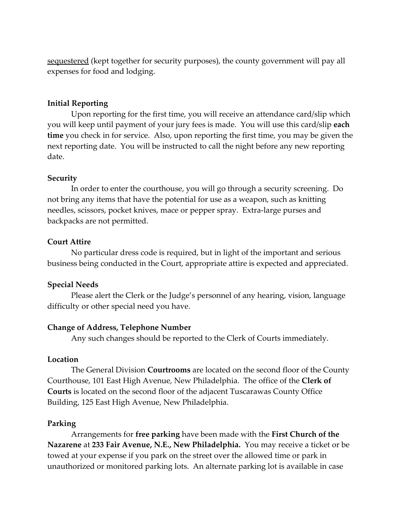sequestered (kept together for security purposes), the county government will pay all expenses for food and lodging.

#### **Initial Reporting**

Upon reporting for the first time, you will receive an attendance card/slip which you will keep until payment of your jury fees is made. You will use this card/slip **each time** you check in for service. Also, upon reporting the first time, you may be given the next reporting date. You will be instructed to call the night before any new reporting date.

#### **Security**

In order to enter the courthouse, you will go through a security screening. Do not bring any items that have the potential for use as a weapon, such as knitting needles, scissors, pocket knives, mace or pepper spray. Extra-large purses and backpacks are not permitted.

#### **Court Attire**

No particular dress code is required, but in light of the important and serious business being conducted in the Court, appropriate attire is expected and appreciated.

#### **Special Needs**

Please alert the Clerk or the Judge's personnel of any hearing, vision, language difficulty or other special need you have.

#### **Change of Address, Telephone Number**

Any such changes should be reported to the Clerk of Courts immediately.

#### **Location**

The General Division **Courtrooms** are located on the second floor of the County Courthouse, 101 East High Avenue, New Philadelphia. The office of the **Clerk of Courts** is located on the second floor of the adjacent Tuscarawas County Office Building, 125 East High Avenue, New Philadelphia.

### **Parking**

Arrangements for **free parking** have been made with the **First Church of the Nazarene** at **233 Fair Avenue, N.E., New Philadelphia.** You may receive a ticket or be towed at your expense if you park on the street over the allowed time or park in unauthorized or monitored parking lots. An alternate parking lot is available in case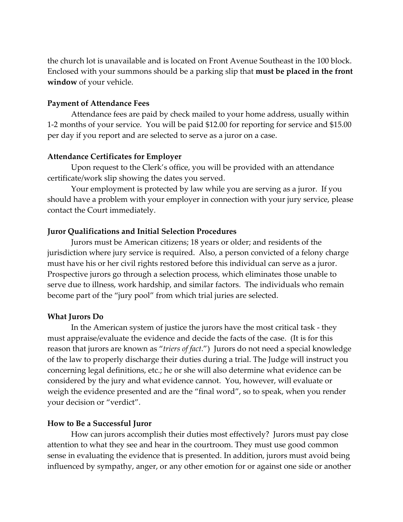the church lot is unavailable and is located on Front Avenue Southeast in the 100 block. Enclosed with your summons should be a parking slip that **must be placed in the front window** of your vehicle.

#### **Payment of Attendance Fees**

Attendance fees are paid by check mailed to your home address, usually within 1-2 months of your service. You will be paid \$12.00 for reporting for service and \$15.00 per day if you report and are selected to serve as a juror on a case.

#### **Attendance Certificates for Employer**

Upon request to the Clerk's office, you will be provided with an attendance certificate/work slip showing the dates you served.

Your employment is protected by law while you are serving as a juror. If you should have a problem with your employer in connection with your jury service, please contact the Court immediately.

#### **Juror Qualifications and Initial Selection Procedures**

Jurors must be American citizens; 18 years or older; and residents of the jurisdiction where jury service is required. Also, a person convicted of a felony charge must have his or her civil rights restored before this individual can serve as a juror. Prospective jurors go through a selection process, which eliminates those unable to serve due to illness, work hardship, and similar factors. The individuals who remain become part of the "jury pool" from which trial juries are selected.

#### **What Jurors Do**

In the American system of justice the jurors have the most critical task - they must appraise/evaluate the evidence and decide the facts of the case. (It is for this reason that jurors are known as "*triers of fact*.") Jurors do not need a special knowledge of the law to properly discharge their duties during a trial. The Judge will instruct you concerning legal definitions, etc.; he or she will also determine what evidence can be considered by the jury and what evidence cannot. You, however, will evaluate or weigh the evidence presented and are the "final word", so to speak, when you render your decision or "verdict".

#### **How to Be a Successful Juror**

How can jurors accomplish their duties most effectively? Jurors must pay close attention to what they see and hear in the courtroom. They must use good common sense in evaluating the evidence that is presented. In addition, jurors must avoid being influenced by sympathy, anger, or any other emotion for or against one side or another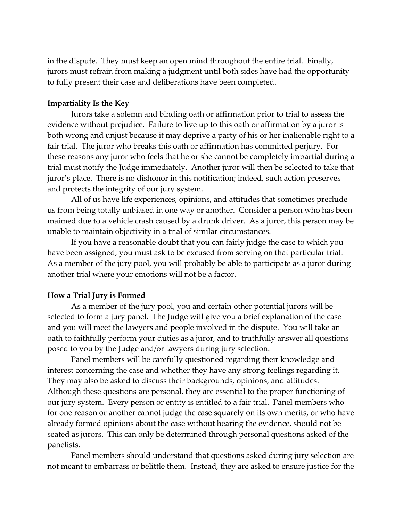in the dispute. They must keep an open mind throughout the entire trial. Finally, jurors must refrain from making a judgment until both sides have had the opportunity to fully present their case and deliberations have been completed.

### **Impartiality Is the Key**

Jurors take a solemn and binding oath or affirmation prior to trial to assess the evidence without prejudice. Failure to live up to this oath or affirmation by a juror is both wrong and unjust because it may deprive a party of his or her inalienable right to a fair trial. The juror who breaks this oath or affirmation has committed perjury. For these reasons any juror who feels that he or she cannot be completely impartial during a trial must notify the Judge immediately. Another juror will then be selected to take that juror's place. There is no dishonor in this notification; indeed, such action preserves and protects the integrity of our jury system.

All of us have life experiences, opinions, and attitudes that sometimes preclude us from being totally unbiased in one way or another. Consider a person who has been maimed due to a vehicle crash caused by a drunk driver. As a juror, this person may be unable to maintain objectivity in a trial of similar circumstances.

If you have a reasonable doubt that you can fairly judge the case to which you have been assigned, you must ask to be excused from serving on that particular trial. As a member of the jury pool, you will probably be able to participate as a juror during another trial where your emotions will not be a factor.

#### **How a Trial Jury is Formed**

As a member of the jury pool, you and certain other potential jurors will be selected to form a jury panel. The Judge will give you a brief explanation of the case and you will meet the lawyers and people involved in the dispute. You will take an oath to faithfully perform your duties as a juror, and to truthfully answer all questions posed to you by the Judge and/or lawyers during jury selection.

Panel members will be carefully questioned regarding their knowledge and interest concerning the case and whether they have any strong feelings regarding it. They may also be asked to discuss their backgrounds, opinions, and attitudes. Although these questions are personal, they are essential to the proper functioning of our jury system. Every person or entity is entitled to a fair trial. Panel members who for one reason or another cannot judge the case squarely on its own merits, or who have already formed opinions about the case without hearing the evidence, should not be seated as jurors. This can only be determined through personal questions asked of the panelists.

Panel members should understand that questions asked during jury selection are not meant to embarrass or belittle them. Instead, they are asked to ensure justice for the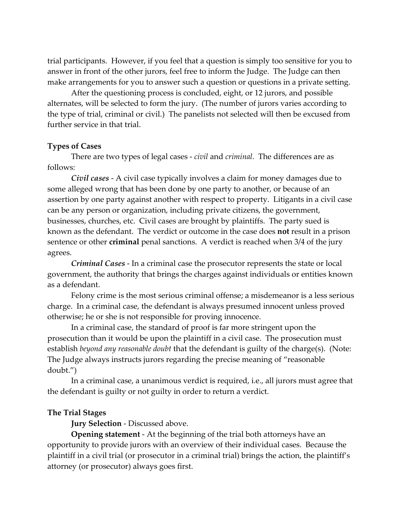trial participants. However, if you feel that a question is simply too sensitive for you to answer in front of the other jurors, feel free to inform the Judge. The Judge can then make arrangements for you to answer such a question or questions in a private setting.

After the questioning process is concluded, eight, or 12 jurors, and possible alternates, will be selected to form the jury. (The number of jurors varies according to the type of trial, criminal or civil.) The panelists not selected will then be excused from further service in that trial.

#### **Types of Cases**

There are two types of legal cases - *civil* and *criminal*. The differences are as follows:

*Civil cases* - A civil case typically involves a claim for money damages due to some alleged wrong that has been done by one party to another, or because of an assertion by one party against another with respect to property. Litigants in a civil case can be any person or organization, including private citizens, the government, businesses, churches, etc. Civil cases are brought by plaintiffs. The party sued is known as the defendant. The verdict or outcome in the case does **not** result in a prison sentence or other **criminal** penal sanctions. A verdict is reached when 3/4 of the jury agrees.

*Criminal Cases* - In a criminal case the prosecutor represents the state or local government, the authority that brings the charges against individuals or entities known as a defendant.

Felony crime is the most serious criminal offense; a misdemeanor is a less serious charge. In a criminal case, the defendant is always presumed innocent unless proved otherwise; he or she is not responsible for proving innocence.

In a criminal case, the standard of proof is far more stringent upon the prosecution than it would be upon the plaintiff in a civil case. The prosecution must establish *beyond any reasonable doubt* that the defendant is guilty of the charge(s). (Note: The Judge always instructs jurors regarding the precise meaning of "reasonable doubt.")

In a criminal case, a unanimous verdict is required, i.e., all jurors must agree that the defendant is guilty or not guilty in order to return a verdict.

#### **The Trial Stages**

**Jury Selection** - Discussed above.

**Opening statement** - At the beginning of the trial both attorneys have an opportunity to provide jurors with an overview of their individual cases. Because the plaintiff in a civil trial (or prosecutor in a criminal trial) brings the action, the plaintiff's attorney (or prosecutor) always goes first.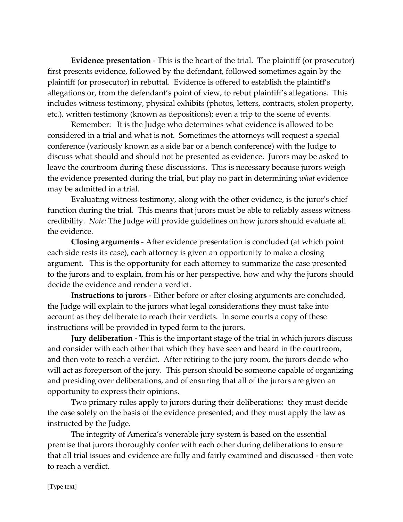**Evidence presentation** - This is the heart of the trial. The plaintiff (or prosecutor) first presents evidence, followed by the defendant, followed sometimes again by the plaintiff (or prosecutor) in rebuttal. Evidence is offered to establish the plaintiff's allegations or, from the defendant's point of view, to rebut plaintiff's allegations. This includes witness testimony, physical exhibits (photos, letters, contracts, stolen property, etc.), written testimony (known as depositions); even a trip to the scene of events.

Remember: It is the Judge who determines what evidence is allowed to be considered in a trial and what is not. Sometimes the attorneys will request a special conference (variously known as a side bar or a bench conference) with the Judge to discuss what should and should not be presented as evidence. Jurors may be asked to leave the courtroom during these discussions. This is necessary because jurors weigh the evidence presented during the trial, but play no part in determining *what* evidence may be admitted in a trial.

Evaluating witness testimony, along with the other evidence, is the juror's chief function during the trial. This means that jurors must be able to reliably assess witness credibility. *Note:* The Judge will provide guidelines on how jurors should evaluate all the evidence.

**Closing arguments** - After evidence presentation is concluded (at which point each side rests its case), each attorney is given an opportunity to make a closing argument. This is the opportunity for each attorney to summarize the case presented to the jurors and to explain, from his or her perspective, how and why the jurors should decide the evidence and render a verdict.

**Instructions to jurors** - Either before or after closing arguments are concluded, the Judge will explain to the jurors what legal considerations they must take into account as they deliberate to reach their verdicts. In some courts a copy of these instructions will be provided in typed form to the jurors.

**Jury deliberation** - This is the important stage of the trial in which jurors discuss and consider with each other that which they have seen and heard in the courtroom, and then vote to reach a verdict. After retiring to the jury room, the jurors decide who will act as foreperson of the jury. This person should be someone capable of organizing and presiding over deliberations, and of ensuring that all of the jurors are given an opportunity to express their opinions.

Two primary rules apply to jurors during their deliberations: they must decide the case solely on the basis of the evidence presented; and they must apply the law as instructed by the Judge.

The integrity of America's venerable jury system is based on the essential premise that jurors thoroughly confer with each other during deliberations to ensure that all trial issues and evidence are fully and fairly examined and discussed - then vote to reach a verdict.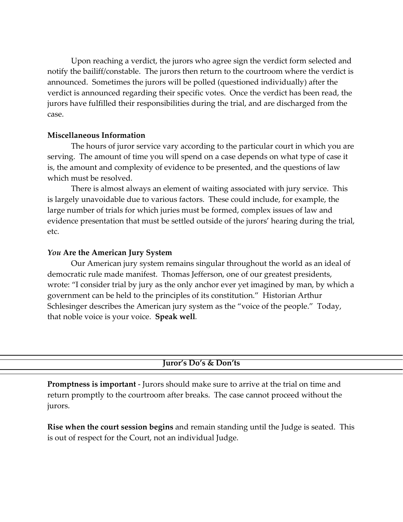Upon reaching a verdict, the jurors who agree sign the verdict form selected and notify the bailiff/constable. The jurors then return to the courtroom where the verdict is announced. Sometimes the jurors will be polled (questioned individually) after the verdict is announced regarding their specific votes. Once the verdict has been read, the jurors have fulfilled their responsibilities during the trial, and are discharged from the case.

#### **Miscellaneous Information**

The hours of juror service vary according to the particular court in which you are serving. The amount of time you will spend on a case depends on what type of case it is, the amount and complexity of evidence to be presented, and the questions of law which must be resolved.

There is almost always an element of waiting associated with jury service. This is largely unavoidable due to various factors. These could include, for example, the large number of trials for which juries must be formed, complex issues of law and evidence presentation that must be settled outside of the jurors' hearing during the trial, etc.

#### *You* **Are the American Jury System**

Our American jury system remains singular throughout the world as an ideal of democratic rule made manifest. Thomas Jefferson, one of our greatest presidents, wrote: "I consider trial by jury as the only anchor ever yet imagined by man, by which a government can be held to the principles of its constitution." Historian Arthur Schlesinger describes the American jury system as the "voice of the people." Today, that noble voice is your voice. **Speak well***.*

#### **Juror's Do's & Don'ts**

**Promptness is important** - Jurors should make sure to arrive at the trial on time and return promptly to the courtroom after breaks. The case cannot proceed without the jurors.

**Rise when the court session begins** and remain standing until the Judge is seated. This is out of respect for the Court, not an individual Judge.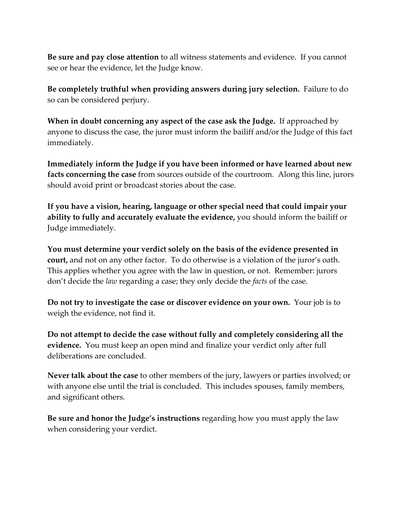**Be sure and pay close attention** to all witness statements and evidence. If you cannot see or hear the evidence, let the Judge know.

**Be completely truthful when providing answers during jury selection.** Failure to do so can be considered perjury.

**When in doubt concerning any aspect of the case ask the Judge.** If approached by anyone to discuss the case, the juror must inform the bailiff and/or the Judge of this fact immediately.

**Immediately inform the Judge if you have been informed or have learned about new facts concerning the case** from sources outside of the courtroom. Along this line, jurors should avoid print or broadcast stories about the case.

**If you have a vision, hearing, language or other special need that could impair your ability to fully and accurately evaluate the evidence,** you should inform the bailiff or Judge immediately.

**You must determine your verdict solely on the basis of the evidence presented in court,** and not on any other factor. To do otherwise is a violation of the juror's oath. This applies whether you agree with the law in question, or not. Remember: jurors don't decide the *law* regarding a case; they only decide the *facts* of the case.

**Do not try to investigate the case or discover evidence on your own.** Your job is to weigh the evidence, not find it.

**Do not attempt to decide the case without fully and completely considering all the evidence.** You must keep an open mind and finalize your verdict only after full deliberations are concluded.

**Never talk about the case** to other members of the jury, lawyers or parties involved; or with anyone else until the trial is concluded. This includes spouses, family members, and significant others.

**Be sure and honor the Judge's instructions** regarding how you must apply the law when considering your verdict.